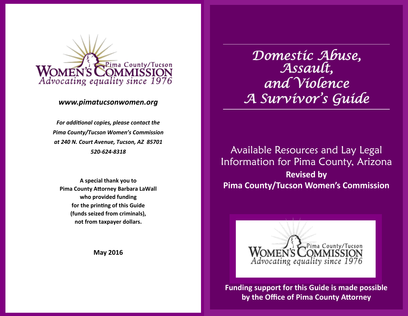

# *www.pimatucsonwomen.org*

*For additional copies, please contact the Pima County/Tucson Women's Commission at 240 N. Court Avenue, Tucson, AZ 85701 520-624-8318*

**A special thank you to Pima County Attorney Barbara LaWall who provided funding for the printing of this Guide (funds seized from criminals), not from taxpayer dollars.**

**May 2016**

*Domestic Abuse, Assault, and Violence A Survivor's Guide* 

Available Resources and Lay Legal Information for Pima County, Arizona **Revised by Pima County/Tucson Women's Commission** 



**Funding support for this Guide is made possible by the Office of Pima County Attorney**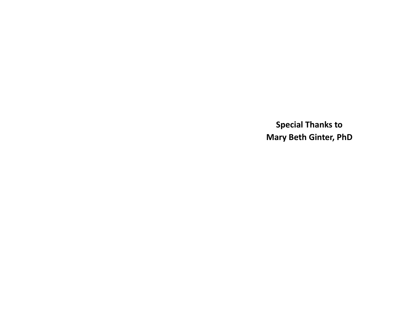**Special Thanks to Mary Beth Ginter, PhD**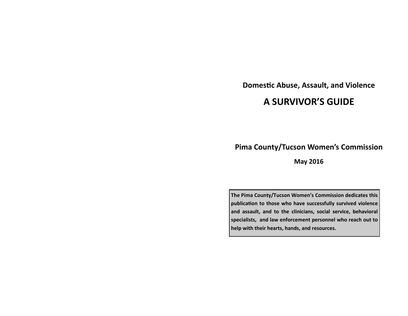**Domestic Abuse, Assault, and Violence** 

# **A SURVIVOR'S GUIDE**

# **Pima County/Tucson Women's Commission**

**May 2016**

**The Pima County/Tucson Women's Commission dedicates this publication to those who have successfully survived violence and assault, and to the clinicians, social service, behavioral specialists, and law enforcement personnel who reach out to help with their hearts, hands, and resources.**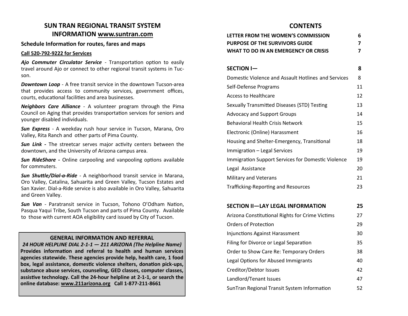# **SUN TRAN REGIONAL TRANSIT SYSTEM INFORMATION www.suntran.com**

#### **Schedule Information for routes, fares and maps**

#### **Call 520-792-9222 for Services**

*Ajo Commuter Circulator Service* - Transportation option to easily travel around Ajo or connect to other regional transit systems in Tucson.

*Downtown Loop -* A free transit service in the downtown Tucson-area that provides access to community services, government offices, courts, educational facilities and area businesses.

*Neighbors Care Alliance* - A volunteer program through the Pima Council on Aging that provides transportation services for seniors and younger disabled individuals.

*Sun Express* - A weekday rush hour service in Tucson, Marana, Oro Valley, Rita Ranch and other parts of Pima County.

*Sun Link -* The streetcar serves major activity centers between the downtown, and the University of Arizona campus area.

*Sun RideShare -* Online carpooling and vanpooling options available for commuters.

*Sun Shuttle/Dial-a-Ride* - A neighborhood transit service in Marana, Oro Valley, Catalina, Sahuarita and Green Valley, Tucson Estates and San Xavier. Dial-a-Ride service is also available in Oro Valley, Sahuarita and Green Valley.

*Sun Van* - Paratransit service in Tucson, Tohono O'Odham Nation, Pasqua Yaqui Tribe, South Tucson and parts of Pima County. Available to those with current AOA eligibility card issued by City of Tucson.

#### **GENERAL INFORMATION AND REFERRAL**

*24 HOUR HELPLINE DIAL 2-1-1 — 211 ARIZONA (The Helpline Name)*  **Provides information and referral to health and human services agencies statewide. These agencies provide help, health care, 1 food box, legal assistance, domestic violence shelters, donation pick-ups, substance abuse services, counseling, GED classes, computer classes, assistive technology. Call the 24-hour helpline at 2-1-1, or search the online database: www.211arizona.org Call 1-877-211-8661**

# **CONTENTS**

| LETTER FROM THE WOMEN'S COMMISSION   | 6 |
|--------------------------------------|---|
| PURPOSE OF THE SURVIVORS GUIDE       |   |
| WHAT TO DO IN AN EMERGENCY OR CRISIS |   |

| <b>SECTION I-</b>                                   | 8  |
|-----------------------------------------------------|----|
| Domestic Violence and Assault Hotlines and Services | 8  |
| Self-Defense Programs                               | 11 |
| Access to Healthcare                                | 12 |
| Sexually Transmitted Diseases (STD) Testing         | 13 |
| <b>Advocacy and Support Groups</b>                  | 14 |
| <b>Behavioral Health Crisis Network</b>             | 15 |
| Electronic (Online) Harassment                      | 16 |
| Housing and Shelter-Emergency, Transitional         | 18 |
| Immigration – Legal Services                        | 19 |
| Immigration Support Services for Domestic Violence  | 19 |
| Legal Assistance                                    | 20 |
| <b>Military and Veterans</b>                        | 21 |
| Trafficking-Reporting and Resources                 | 23 |

# **SECTION II—LAY LEGAL INFORMATION 25**

| Arizona Constitutional Rights for Crime Victims | 27 |
|-------------------------------------------------|----|
| <b>Orders of Protection</b>                     | 29 |
| <b>Injunctions Against Harassment</b>           | 30 |
| Filing for Divorce or Legal Separation          | 35 |
| Order to Show Care Re: Temporary Orders         | 38 |
| Legal Options for Abused Immigrants             | 40 |
| Creditor/Debtor Issues                          | 42 |
| Landlord/Tenant Issues                          | 47 |
| SunTran Regional Transit System Information     | 52 |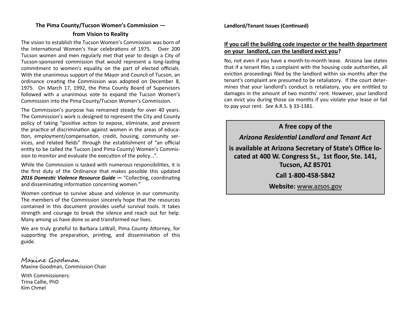# **The Pima County/Tucson Women's Commission from Vision to Reality**

The vision to establish the Tucson Women's Commission was born of the International Women's Year celebrations of 1975. Over 200 Tucson women and men regularly met that year to design a City of Tucson-sponsored commission that would represent a long-lasting commitment to women's equality on the part of elected officials. With the unanimous support of the Mayor and Council of Tucson, an ordinance creating the Commission was adopted on December 8, 1975. On March 17, 1992, the Pima County Board of Supervisors followed with a unanimous vote to expand the Tucson Women's Commission into the Pima County/Tucson Women's Commission.

The Commission's purpose has remained steady for over 40 years. The Commission's work is designed to represent the City and County policy of taking "positive action to expose, eliminate, and prevent the practice of discrimination against women in the areas of education, employment/compensation, credit, housing, community services, and related fields" through the establishment of "an official entity to be called the Tucson (and Pima County) Women's Commission to monitor and evaluate the execution of the policy…".

While the Commission is tasked with numerous responsibilities, it is the first duty of the Ordinance that makes possible this updated *2016 Domestic Violence Resource Guide —* "Collecting, coordinating and disseminating information concerning women."

Women continue to survive abuse and violence in our community. The members of the Commission sincerely hope that the resources contained in this document provides useful survival tools. It takes strength and courage to break the silence and reach out for help. Many among us have done so and transformed our lives.

We are truly grateful to Barbara LaWall, Pima County Attorney, for supporting the preparation, printing, and dissemination of this guide.

Maxine Goodman Maxine Goodman, Commission Chair

With Commissioners: Trina Callie, PhD Kim Chmel

**Landlord/Tenant Issues (Continued)**

# **If you call the building code inspector or the health department on your landlord, can the landlord evict you?**

No, not even if you have a month-to-month lease. Arizona law states that if a tenant files a complaint with the housing code authorities, all eviction proceedings filed by the landlord within six months after the tenant's complaint are presumed to be retaliatory. If the court determines that your landlord's conduct is retaliatory, you are entitled to damages in the amount of two months' rent. However, your landlord can evict you during those six months if you violate your lease or fail to pay your rent. *See* A.R.S. § 33-1381.

**A free copy of the** 

*Arizona Residential Landlord and Tenant Act* 

**is available at Arizona Secretary of State's Office located at 400 W. Congress St., 1st floor, Ste. 141, Tucson, AZ 85701**

**Call 1-800-458-5842** 

**Website:** www.azsos.gov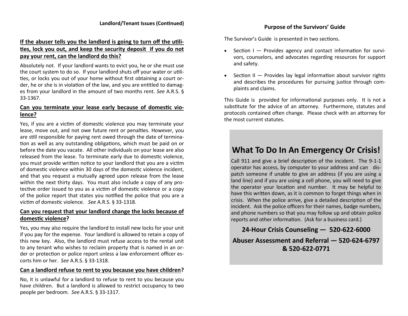# **If the abuser tells you the landlord is going to turn off the utilities, lock you out, and keep the security deposit if you do not pay your rent, can the landlord do this?**

Absolutely not. If your landlord wants to evict you, he or she must use the court system to do so. If your landlord shuts off your water or utilities, or locks you out of your home without first obtaining a court order, he or she is in violation of the law, and you are entitled to damages from your landlord in the amount of two months rent. *See* A.R.S. § 33-1367.

## **Can you terminate your lease early because of domestic violence?**

Yes, if you are a victim of domestic violence you may terminate your lease, move out, and not owe future rent or penalties. However, you are still responsible for paying rent owed through the date of termination as well as any outstanding obligations, which must be paid on or before the date you vacate. All other individuals on your lease are also released from the lease. To terminate early due to domestic violence, you must provide written notice to your landlord that you are a victim of domestic violence within 30 days of the domestic violence incident, and that you request a mutually agreed upon release from the lease within the next thirty days. You must also include a copy of any protective order issued to you as a victim of domestic violence or a copy of the police report that states you notified the police that you are a victim of domestic violence. *See* A.R.S. § 33-1318.

# **Can you request that your landlord change the locks because of domestic violence?**

Yes, you may also require the landlord to install new locks for your unit if you pay for the expense. Your landlord is allowed to retain a copy of this new key. Also, the landlord must refuse access to the rental unit to any tenant who wishes to reclaim property that is named in an order or protection or police report unless a law enforcement officer escorts him or her. *See* A.R.S. § 33-1318.

#### **Can a landlord refuse to rent to you because you have children?**

No, it is unlawful for a landlord to refuse to rent to you because you have children. But a landlord is allowed to restrict occupancy to two people per bedroom. *See* A.R.S. § 33-1317.

The Survivor's Guide is presented in two sections.

- Section I Provides agency and contact information for survivors, counselors, and advocates regarding resources for support and safety.
- Section II Provides lay legal information about survivor rights and describes the procedures for pursuing justice through complaints and claims.

This Guide is provided for informational purposes only. It is not a substitute for the advice of an attorney. Furthermore, statutes and protocols contained often change. Please check with an attorney for the most current statutes.

# **What To Do In An Emergency Or Crisis!**

Call 911 and give a brief description of the incident. The 9-1-1 operator has access, by computer to your address and can dispatch someone if unable to give an address (if you are using a land line) and if you are using a cell phone, you will need to give the operator your location and number. It may be helpful to have this written down, as it is common to forget things when in crisis. When the police arrive, give a detailed description of the incident. Ask the police officers for their names, badge numbers, and phone numbers so that you may follow up and obtain police reports and other information. (Ask for a business card.)

**24-Hour Crisis Counseling — 520-622-6000**

**Abuser Assessment and Referral — 520-624-6797 & 520-622-0771**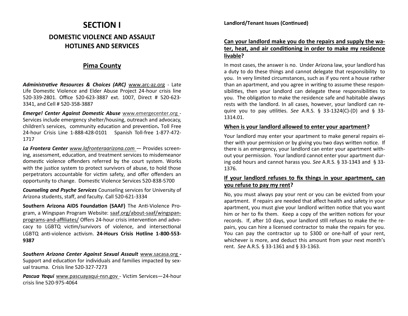# **SECTION I DOMESTIC VIOLENCE AND ASSAULT HOTLINES AND SERVICES**

# **Pima County**

*Administrative Resources & Choices (ARC)* www.arc-az.org - Late Life Domestic Violence and Elder Abuse Project 24-hour crisis line 520-339-2801. Office 520-623-3887 ext. 1007, Direct # 520-623- 3341, and Cell # 520-358-3887

*Emerge! Center Against Domestic Abuse* www.emergecenter.org - Services include emergency shelter/housing, outreach and advocacy, children's services, community education and prevention*.* Toll Free 24-hour Crisis Line 1-888-428-0101 Spanish Toll-free 1-877-472- 1717

*La Frontera Center www.lafronteraarizona.com —* Provides screening, assessment, education, and treatment services to misdemeanor domestic violence offenders referred by the court system. Works with the justice system to protect survivors of abuse, to hold those perpetrators accountable for victim safety, and offer offenders an opportunity to change. Domestic Violence Services 520-838-5700

*Counseling and Psyche Services* Counseling services for University of Arizona students, staff, and faculty. Call 520-621-3334

**Southern Arizona AIDS Foundation (SAAF)** The Anti-Violence Program, a Wingspan Program Website: saaf.org/about-saaf/wingspanprograms-and-affiliates/ Offers 24-hour crisis intervention and advocacy to LGBTQ victim/survivors of violence, and intersectional LGBTQ anti-violence activism. **24-Hours Crisis Hotline 1-800-553- 9387**

*Southern Arizona Center Against Sexual Assault* www.sacasa.org *-* Support and education for individuals and families impacted by sexual trauma. Crisis line 520-327-7273

*Pascua Yaqui* www.pascuayaqui-nsn.gov *-* Victim Services—24-hour crisis line 520-975-4064

## **Can your landlord make you do the repairs and supply the water, heat, and air conditioning in order to make my residence livable?**

In most cases, the answer is no. Under Arizona law, your landlord has a duty to do these things and cannot delegate that responsibility to you. In very limited circumstances, such as if you rent a house rather than an apartment, and you agree in writing to assume these responsibilities, then your landlord can delegate these responsibilities to you. The obligation to make the residence safe and habitable always rests with the landlord. In all cases, however, your landlord can require you to pay utilities. *See* A.R.S. § 33-1324(C)-(D) and § 33- 1314.01.

#### **When is your landlord allowed to enter your apartment?**

Your landlord may enter your apartment to make general repairs either with your permission or by giving you two days written notice. If there is an emergency, your landlord can enter your apartment without your permission. Your landlord cannot enter your apartment during odd hours and cannot harass you. *See* A.R.S. § 33-1343 and § 33- 1376.

# **If your landlord refuses to fix things in your apartment, can you refuse to pay my rent?**

No, you must always pay your rent or you can be evicted from your apartment. If repairs are needed that affect health and safety in your apartment, you must give your landlord written notice that you want him or her to fix them. Keep a copy of the written notices for your records. If, after 10 days, your landlord still refuses to make the repairs, you can hire a licensed contractor to make the repairs for you. You can pay the contractor up to \$300 or one-half of your rent, whichever is more, and deduct this amount from your next month's rent. *See* A.R.S. § 33-1361 and § 33-1363.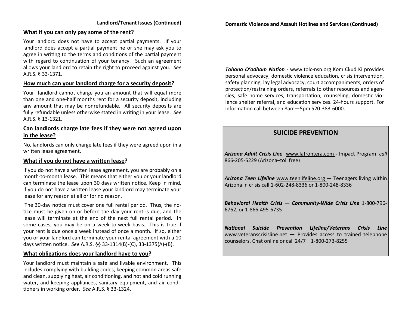#### **What if you can only pay some of the rent?**

Your landlord does not have to accept partial payments. If your landlord does accept a partial payment he or she may ask you to agree in writing to the terms and conditions of the partial payment with regard to continuation of your tenancy. Such an agreement allows your landlord to retain the right to proceed against you. *See*  A.R.S. § 33-1371.

#### **How much can your landlord charge for a security deposit?**

Your landlord cannot charge you an amount that will equal more than one and one-half months rent for a security deposit, including any amount that may be nonrefundable. All security deposits are fully refundable unless otherwise stated in writing in your lease. *See* A.R.S. § 13-1321.

## **Can landlords charge late fees if they were not agreed upon in the lease?**

No, landlords can only charge late fees if they were agreed upon in a written lease agreement.

## **What if you do not have a written lease?**

If you do not have a written lease agreement, you are probably on a month-to-month lease. This means that either you or your landlord can terminate the lease upon 30 days written notice. Keep in mind, if you do not have a written lease your landlord may terminate your lease for any reason at all or for no reason.

The 30-day notice must cover one full rental period. Thus, the notice must be given on or before the day your rent is due, and the lease will terminate at the end of the next full rental period. In some cases, you may be on a week-to-week basis. This is true if your rent is due once a week instead of once a month. If so, either you or your landlord can terminate your rental agreement with a 10 days written notice. *See* A.R.S. §§ 33-1314(B)-(C), 33-1375(A)-(B).

#### **What obligations does your landlord have to you?**

Your landlord must maintain a safe and livable environment. This includes complying with building codes, keeping common areas safe and clean, supplying heat, air conditioning, and hot and cold running water, and keeping appliances, sanitary equipment, and air conditioners in working order. *See* A.R.S. § 33-1324.

*Tohono O'odham Nation* - www.tolc-nsn.org Kom Ckud Ki provides personal advocacy, domestic violence education, crisis intervention, safety planning, lay legal advocacy, court accompaniments, orders of protection/restraining orders, referrals to other resources and agencies, safe home services, transportation, counseling, domestic violence shelter referral, and education services. 24-hours support. For information call between 8am—5pm 520-383-6000.

# **SUICIDE PREVENTION**

*Arizona Adult Crisis Line* www.lafrontera.com *-* Impact Program *call*  866-205-5229 (Arizona–toll free)

*Arizona Teen Lifeline* www.teenlifeline.org — Teenagers living within Arizona in crisis call 1-602-248-8336 or 1-800-248-8336

*Behavioral Health Crisis* — *Community-Wide Crisis Line* 1-800-796- 6762, or 1-866-495-6735

*National Suicide Prevention Lifeline/Veterans Crisis Line*  www.veteranscrisisline.net *—* Provides access to trained telephone counselors. Chat online or call 24/7—1-800-273-8255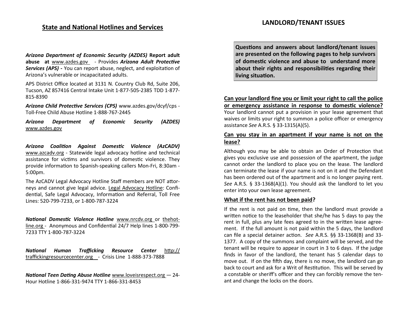# **State and National Hotlines and Services**

*Arizona Department of Economic Security (AZDES)* **Report adult abuse at** www.azdes.gov - Provides *Arizona Adult Protective Services (APS) -* You can report abuse, neglect, and exploitation of Arizona's vulnerable or incapacitated adults.

APS District Office located at 3131 N. Country Club Rd, Suite 206, Tucson, AZ 857416 Central Intake Unit 1-877-505-2385 TDD 1-877- 815-8390

*Arizona Child Protective Services (CPS)* www.azdes.gov/dcyf/cps - Toll-Free Child Abuse Hotline 1-888-767-2445

*Arizona Department of Economic Security (AZDES)*  www.azdes.gov

*Arizona Coalition Against Domestic Violence (AzCADV)*  www.azcadv.org - Statewide legal advocacy hotline and technical assistance for victims and survivors of domestic violence. They provide information to Spanish-speaking callers Mon-Fri, 8:30am - 5:00pm.

The AzCADV Legal Advocacy Hotline Staff members are NOT attorneys and cannot give legal advice. Legal Advocacy Hotline: Confidential, Safe Legal Advocacy, Information and Referral, Toll Free Lines: 520-799-7233, or 1-800-787-3224

*National Domestic Violence Hotline* www.nrcdv.org or thehotline.org - Anonymous and Confidential 24/7 Help lines 1-800-799- 7233 TTY 1-800-787-3224

*National Human Trafficking Resource Center* http:// traffickingresourcecenter.org - Crisis Line 1-888-373-7888

*National Teen Dating Abuse Hotline* www.loveisrespect.org *—* 24- Hour Hotline 1-866-331-9474 TTY 1-866-331-8453

**Questions and answers about landlord/tenant issues are presented on the following pages to help survivors of domestic violence and abuse to understand more about their rights and responsibilities regarding their living situation.** 

**Can your landlord fine you or limit your right to call the police or emergency assistance in response to domestic violence?** 

Your landlord cannot put a provision in your lease agreement that waives or limits your right to summon a police officer or emergency assistance *See* A.R.S. § 33-1315(A)(5).

## **Can you stay in an apartment if your name is not on the lease?**

Although you may be able to obtain an Order of Protection that gives you exclusive use and possession of the apartment, the judge cannot order the landlord to place you on the lease. The landlord can terminate the lease if your name is not on it and the Defendant has been ordered out of the apartment and is no longer paying rent. *See* A.R.S. § 33-1368(A)(1). You should ask the landlord to let you enter into your own lease agreement.

#### **What if the rent has not been paid?**

If the rent is not paid on time, then the landlord must provide a written notice to the leaseholder that she/he has 5 days to pay the rent in full, plus any late fees agreed to in the written lease agreement. If the full amount is not paid within the 5 days, the landlord can file a special detainer action. *See* A.R.S. §§ 33-1368(B) and 33- 1377. A copy of the summons and complaint will be served, and the tenant will be require to appear in court in 3 to 6 days. If the judge finds in favor of the landlord, the tenant has 5 calendar days to move out. If on the fifth day, there is no move, the landlord can go back to court and ask for a Writ of Restitution. This will be served by a constable or sheriff's officer and they can forcibly remove the tenant and change the locks on the doors.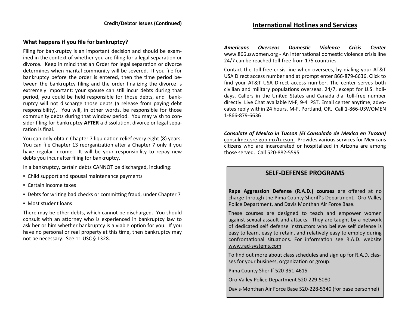## **What happens if you file for bankruptcy?**

Filing for bankruptcy is an important decision and should be examined in the context of whether you are filing for a legal separation or divorce. Keep in mind that an Order for legal separation or divorce determines when marital community will be severed. If you file for bankruptcy before the order is entered, then the time period between the bankruptcy filing and the order finalizing the divorce is extremely important: your spouse can still incur debts during that period, you could be held responsible for those debts, and bankruptcy will not discharge those debts (a release from paying debt responsibility). You will, in other words, be responsible for those community debts during that window period. You may wish to consider filing for bankruptcy **AFTER** a dissolution, divorce or legal separation is final.

You can only obtain Chapter 7 liquidation relief every eight (8) years. You can file Chapter 13 reorganization after a Chapter 7 only if you have regular income. It will be your responsibility to repay new debts you incur after filing for bankruptcy.

In a bankruptcy, certain debts CANNOT be discharged, including:

- Child support and spousal maintenance payments
- Certain income taxes
- Debts for writing bad checks or committing fraud, under Chapter 7
- Most student loans

There may be other debts, which cannot be discharged. You should consult with an attorney who is experienced in bankruptcy law to ask her or him whether bankruptcy is a viable option for you. If you have no personal or real property at this time, then bankruptcy may not be necessary. See 11 USC § 1328.

# **International Hotlines and Services**

*Americans Overseas Domestic Violence Crisis Center*  www.866uswomen.org - An international domestic violence crisis line 24/7 can be reached toll-free from 175 countries.

Contact the toll-free crisis line when oversees, by dialing your AT&T USA Direct access number and at prompt enter 866-879-6636. Click to find your AT&T USA Direct access number. The center serves both civilian and military populations overseas. 24/7, except for U.S. holidays. Callers in the United States and Canada dial toll-free number directly. Live Chat available M-F, 9-4 PST. Email center anytime, advocates reply within 24 hours, M-F, Portland, OR. Call 1-866-USWOMEN 1-866-879-6636

*Consulate of Mexico in Tucson (El Consulado de Mexico en Tucson)*  consulmex.sre.gob.mx/tucson - Provides various services for Mexicans citizens who are incarcerated or hospitalized in Arizona are among those served. Call 520-882-5595

# **SELF-DEFENSE PROGRAMS**

**Rape Aggression Defense (R.A.D.) courses** are offered at no charge through the Pima County Sheriff's Department, Oro Valley Police Department, and Davis Monthan Air Force Base.

These courses are designed to teach and empower women against sexual assault and attacks. They are taught by a network of dedicated self defense instructors who believe self defense is easy to learn, easy to retain, and relatively easy to employ during confrontational situations. For information see R.A.D. website www.rad-[systems.com](http://www.rad-systems.com)

To find out more about class schedules and sign up for R.A.D. classes for your business, organization or group:

Pima County Sheriff 520-351-4615

Oro Valley Police Department 520-229-5080

Davis-Monthan Air Force Base 520-228-5340 (for base personnel)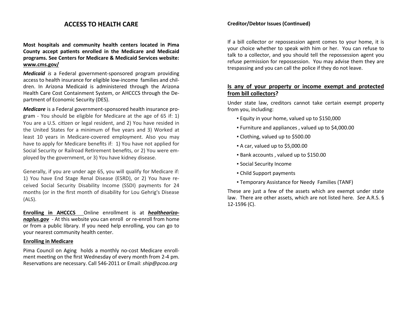# **ACCESS TO HEALTH CARE**

**Most hospitals and community health centers located in Pima County accept patients enrolled in the Medicare and Medicaid programs. See Centers for Medicare & Medicaid Services website: www.cms.gov/**

*Medicaid is* a Federal government-sponsored program providing access to health insurance for eligible low-income families and children. In Arizona Medicaid is administered through the Arizona Health Care Cost Containment System, or AHCCCS through the Department of Economic Security (DES).

*Medicare* is a Federal government-sponsored health insurance program - You should be eligible for Medicare at the age of 65 if: 1) You are a U.S. citizen or legal resident, and 2) You have resided in the United States for a minimum of five years and 3) Worked at least 10 years in Medicare-covered employment. Also you may have to apply for Medicare benefits if: 1) You have not applied for Social Security or Railroad Retirement benefits, or 2) You were employed by the government, or 3) You have kidney disease.

Generally, if you are under age 65, you will qualify for Medicare if: 1) You have End Stage Renal Disease (ESRD), or 2) You have received Social Security Disability Income (SSDI) payments for 24 months (or in the first month of disability for Lou Gehrig's Disease (ALS).

**Enrolling in AHCCCS** Online enrollment is at *healthearizonaplus.gov* - At this website you can enroll or re-enroll from home or from a public library. If you need help enrolling, you can go to your nearest community health center.

#### **Enrolling in Medicare**

Pima Council on Aging holds a monthly no-cost Medicare enrollment meeting on the first Wednesday of every month from 2-4 pm. Reservations are necessary. Call 546-2011 or Email: *ship@pcoa.org*

#### **Creditor/Debtor Issues (Continued)**

If a bill collector or repossession agent comes to your home, it is your choice whether to speak with him or her. You can refuse to talk to a collector, and you should tell the repossession agent you refuse permission for repossession. You may advise them they are trespassing and you can call the police if they do not leave.

## **Is any of your property or income exempt and protected from bill collectors?**

Under state law, creditors cannot take certain exempt property from you, including:

- Equity in your home, valued up to \$150,000
- Furniture and appliances , valued up to \$4,000.00
- Clothing, valued up to \$500.00
- $\bullet$  A car, valued up to \$5,000.00
- Bank accounts , valued up to \$150.00
- Social Security Income
- Child Support payments
- Temporary Assistance for Needy Families (TANF)

These are just a few of the assets which are exempt under state law. There are other assets, which are not listed here. *See* A.R.S. § 12-1596 (C).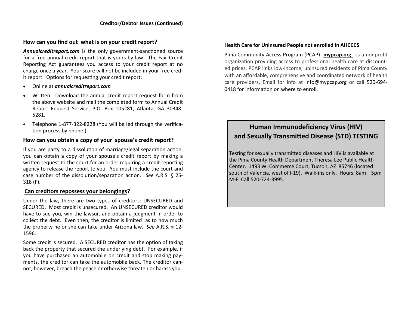#### **How can you find out what is on your credit report?**

*Annualcreditreport.com* is the only government-sanctioned source for a free annual credit report that is yours by law. The Fair Credit Reporting Act guarantees you access to your credit report at no charge once a year. Your score will not be included in your free credit report. Options for requesting your credit report:

- Online at *annualcreditreport.com*
- Written: Download the annual credit report request form from the above website and mail the completed form to Annual Credit Report Request Service, P.O. Box 105281, Atlanta, GA 30348- 5281.
- Telephone 1-877-322-8228 (You will be led through the verification process by phone.)

#### **How can you obtain a copy of your spouse's credit report?**

If you are party to a dissolution of marriage/legal separation action, you can obtain a copy of your spouse's credit report by making a written request to the court for an order requiring a credit reporting agency to release the report to you. You must include the court and case number of the dissolution/separation action.*See* A.R.S. § 25- 318 (F).

#### **Can creditors repossess your belongings?**

Under the law, there are two types of creditors: UNSECURED and SECURED. Most credit is unsecured. An UNSECURED creditor would have to sue you, win the lawsuit and obtain a judgment in order to collect the debt. Even then, the creditor is limited as to how much the property he or she can take under Arizona law. *See* A.R.S. § 12- 1596.

Some credit is secured. A SECURED creditor has the option of taking back the property that secured the underlying debt. For example, if you have purchased an automobile on credit and stop making payments, the creditor can take the automobile back. The creditor cannot, however, breach the peace or otherwise threaten or harass you.

#### **Health Care for Uninsured People not enrolled in AHCCCS**

Pima Community Access Program (PCAP) **mypcap.org** is a nonprofit organization providing access to professional health care at discounted prices. PCAP links low-income, uninsured residents of Pima County with an affordable, comprehensive and coordinated network of health care providers. Email for info at [info@mypcap.org](mailto:info@mypcap.org) or call 520-694- 0418 for information on where to enroll.

# **Human Immunodeficiency Virus (HIV) and Sexually Transmitted Disease (STD) TESTING**

Testing for sexually transmitted diseases and HIV is available at the Pima County Health Department Theresa Lee Public Health Center. 1493 W. Commerce Court, Tucson, AZ 85746 (located south of Valencia, west of I-19). Walk-ins only. Hours: 8am—5pm M-F. Call 520-724-3995.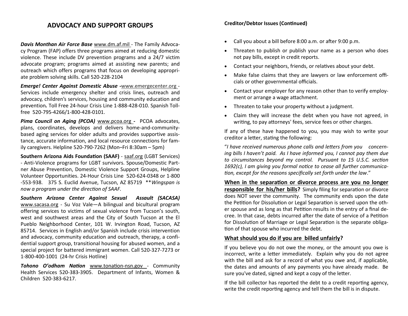# **ADVOCACY AND SUPPORT GROUPS**

*Davis Monthan Air Force Base* www.dm.af.mil - The Family Advocacy Program (FAP) offers three programs aimed at reducing domestic violence. These include DV prevention programs and a 24/7 victim advocate program; programs aimed at assisting new parents; and outreach which offers programs that focus on developing appropriate problem solving skills. Call 520-228-2104

*Emerge! Center Against Domestic Abuse -*www.emergecenter.org - Services include emergency shelter and crisis lines, outreach and advocacy, children's services, housing and community education and prevention*.* Toll Free 24-hour Crisis Line 1-888-428-010. Spanish Tollfree 520-795-4266/1-800-428-0101.

*Pima Council on Aging (PCOA)* www.pcoa.org *-* PCOA advocates, plans, coordinates, develops and delivers home-and-communitybased aging services for older adults and provides supportive assistance, accurate information, and local resource connections for family caregivers. Helpline 520-790-7262 (Mon–Fri 8:30am – 5pm)

**Southern Arizona Aids Foundation (SAAF)** - saaf.org (LGBT Services) - Anti-Violence programs for LGBT survivors. Spouse/Domestic Partner Abuse Prevention, Domestic Violence Support Groups, Helpline Volunteer Opportunities. 24-Hour Crisis Line 520-624-0348 or 1-800 -553-938. 375 S. Euclid Avenue, Tucson, AZ 85719 \*\**Wingspan is now a program under the direction of SAAF.*

*Southern Arizona Center Against Sexual Assault (SACASA)* www.sacasa.org - Su Voz Vale—A bilingual and bicultural program offering services to victims of sexual violence from Tucson's south, west and southwest areas and the City of South Tucson at the El Pueblo Neighborhood Center, 101 W. Irvington Road, Tucson, AZ 85714. Services in English and/or Spanish include crisis intervention and advocacy, community education and outreach, therapy, a confidential support group, transitional housing for abused women, and a special project for battered immigrant women. Call 520-327-7273 or 1-800-400-1001 (24-hr Crisis Hotline)

*Tohono O'odham Nation* www.tonation-nsn.gov - Community Health Services 520-383-3905. Department of Infants, Women & Children 520-383-6217.

#### **Creditor/Debtor Issues (Continued)**

- Call you about a bill before 8:00 a.m. or after 9:00 p.m.
- Threaten to publish or publish your name as a person who does not pay bills, except in credit reports.
- Contact your neighbors, friends, or relatives about your debt.
- Make false claims that they are lawyers or law enforcement officials or other governmental officials.
- Contact your employer for any reason other than to verify employment or arrange a wage attachment.
- Threaten to take your property without a judgment.
- Claim they will increase the debt when you have not agreed, in writing, to pay attorneys' fees, service fees or other charges.

If any of these have happened to you, you may wish to write your creditor a letter, stating the following:

"*I have received numerous phone calls and letters from you concerning bills I haven't paid. As I have informed you, I cannot pay them due to circumstances beyond my control. Pursuant to 15 U.S.C. section 1692(c), I am giving you formal notice to cease all further communication, except for the reasons specifically set forth under the law*."

**When in the separation or divorce process are you no longer responsible for his/her bills?** Simply filing for separation or divorce does NOT sever the community. The community ends upon the date the Petition for Dissolution or Legal Separation is served upon the other spouse and as long as that Petition results in the entry of a final decree. In that case, debts incurred after the date of service of a Petition for Dissolution of Marriage or Legal Separation is the separate obligation of that spouse who incurred the debt.

# **What should you do if you are billed unfairly?**

If you believe you do not owe the money, or the amount you owe is incorrect, write a letter immediately. Explain why you do not agree with the bill and ask for a record of what you owe and, if applicable, the dates and amounts of any payments you have already made. Be sure you've dated, signed and kept a copy of the letter.

If the bill collector has reported the debt to a credit reporting agency, write the credit reporting agency and tell them the bill is in dispute.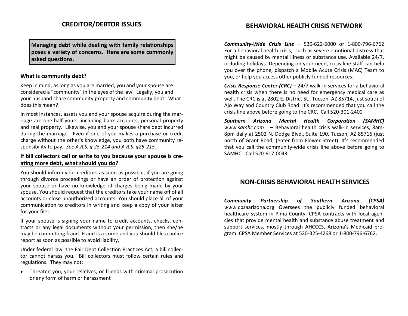# **CREDITOR/DEBTOR ISSUES**

**Managing debt while dealing with family relationships poses a variety of concerns. Here are some commonly asked questions.**

#### **What is community debt?**

Keep in mind, as long as you are married, you and your spouse are considered a "community" in the eyes of the law. Legally, you and your husband share community property and community debt. What does this mean?

In most instances, assets you and your spouse acquire during the marriage are one-half yours, including bank accounts, personal property and real property. Likewise, you and your spouse share debt incurred during the marriage. Even if one of you makes a purchase or credit charge without the other's knowledge, you both have community responsibility to pay*. See A.R.S. § 25-214 and A.R.S. §25-215.*

## **If bill collectors call or write to you because your spouse is creating more debt, what should you do?**

You should inform your creditors as soon as possible, if you are going through divorce proceedings or have an order of protection against your spouse or have no knowledge of charges being made by your spouse. You should request that the creditors take your name off of all accounts or close unauthorized accounts. You should place all of your communication to creditors in writing and keep a copy of your letter for your files.

If your spouse is signing your name to credit accounts, checks, contracts or any legal documents without your permission, then she/he may be committing fraud. Fraud is a crime and you should file a police report as soon as possible to avoid liability.

Under federal law, the Fair Debt Collection Practices Act, a bill collector cannot harass you. Bill collectors must follow certain rules and regulations. They may not:

 Threaten you, your relatives, or friends with criminal prosecution or any form of harm or harassment

# **BEHAVIORAL HEALTH CRISIS NETWORK**

*Community-Wide Crisis Line* – 520-622-6000 or 1-800-796-6762 For a behavioral health crisis, such as severe emotional distress that might be caused by mental illness or substance use. Available 24/7, including holidays. Depending on your need, crisis line staff can help you over the phone, dispatch a Mobile Acute Crisis (MAC) Team to you, or help you access other publicly funded resources.

*Crisis Response Center (CRC)* – 24/7 walk-in services for a behavioral health crisis when there is no need for emergency medical care as well. The CRC is at 2802 E. District St., Tucson, AZ 85714, just south of Ajo Way and Country Club Road. It's recommended that you call the crisis line above before going to the CRC. Call 520-301-2400

*Southern Arizona Mental Health Corporation (SAMHC) www.samhc.com –* Behavioral health crisis walk-in services, 8am-8pm daily at 2502 N. Dodge Blvd., Suite 190, Tucson, AZ 85716 (just north of Grant Road; (enter from Flower Street). It's recommended that you call the community-wide crisis line above before going to SAMHC. Call 520-617-0043

# **NON-CRISIS BEHAVIORAL HEALTH SERVICES**

*Community Partnership of Southern Arizona (CPSA) www.*cpsaarizona**.**org Oversees the publicly funded behavioral healthcare system in Pima County. CPSA contracts with local agencies that provide mental health and substance abuse treatment and support services, mostly through AHCCCS, Arizona's Medicaid program. CPSA Member Services at 520-325-4268 or 1-800-796-6762.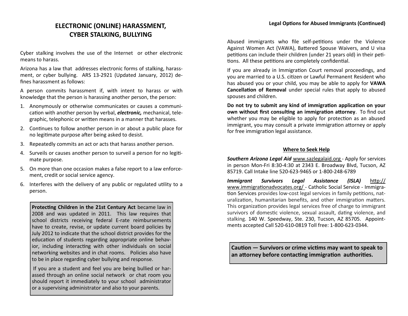# **ELECTRONIC (ONLINE) HARASSMENT, CYBER STALKING, BULLYING**

Cyber stalking involves the use of the Internet or other electronic means to harass.

Arizona has a law that addresses electronic forms of stalking, harassment, or cyber bullying. ARS 13-2921 (Updated January, 2012) defines harassment as follows:

A person commits harassment if, with intent to harass or with knowledge that the person is harassing another person, the person:

- 1. Anonymously or otherwise communicates or causes a communication with another person by verbal, *electronic,* mechanical, telegraphic, telephonic or written means in a manner that harasses.
- 2. Continues to follow another person in or about a public place for no legitimate purpose after being asked to desist.
- 3. Repeatedly commits an act or acts that harass another person.
- 4. Surveils or causes another person to surveil a person for no legitimate purpose.
- 5. On more than one occasion makes a false report to a law enforcement, credit or social service agency.
- 6. Interferes with the delivery of any public or regulated utility to a person.

**Protecting Children in the 21st Century Act** became law in 2008 and was updated in 2011. This law requires that school districts receiving federal E-rate reimbursements have to create, revise, or update current board policies by July 2012 to indicate that the school district provides for the education of students regarding appropriate online behavior, including interacting with other individuals on social networking websites and in chat rooms. Policies also have to be in place regarding cyber bullying and response.

If you are a student and feel you are being bullied or harassed through an online social network or chat room you should report it immediately to your school administrator or a supervising administrator and also to your parents.

Abused immigrants who file self-petitions under the Violence Against Women Act (VAWA), Battered Spouse Waivers, and U visa petitions can include their children (under 21 years old) in their petitions. All these petitions are completely confidential.

If you are already in Immigration Court removal proceedings, and you are married to a U.S. citizen or Lawful Permanent Resident who has abused you or your child, you may be able to apply for **VAWA Cancellation of Removal** under special rules that apply to abused spouses and children.

**Do not try to submit any kind of immigration application on your own without first consulting an immigration attorney**. To find out whether you may be eligible to apply for protection as an abused immigrant, you may consult a private immigration attorney or apply for free immigration legal assistance.

#### **Where to Seek Help**

*Southern Arizona Legal Aid* www.sazlegalaid.org - Apply for services in person Mon-Fri 8:30-4:30 at 2343 E. Broadway Blvd, Tucson, AZ 85719. Call Intake line 520-623-9465 or 1-800-248-6789

*Immigrant Survivors Legal Assistance (ISLA)* [http://](http://www.immigrationadvocates.org/) [www.immigrationadvocates.org/](http://www.immigrationadvocates.org/) - Catholic Social Service - Immigration Services provides low-cost legal services in family petitions, naturalization, humanitarian benefits, and other immigration matters. This organization provides legal services free of charge to immigrant survivors of domestic violence, sexual assault, dating violence, and stalking. 140 W. Speedway, Ste. 230, Tucson, AZ 85705. Appointments accepted Call 520-610-0819 Toll free: 1-800-623-0344.

**Caution — Survivors or crime victims may want to speak to an attorney before contacting immigration authorities.**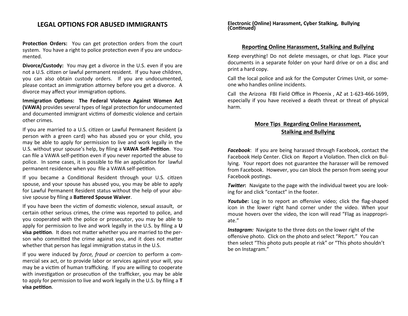# **LEGAL OPTIONS FOR ABUSED IMMIGRANTS**

**Protection Orders:** You can get protection orders from the court system. You have a right to police protection even if you are undocumented.

**Divorce/Custody:** You may get a divorce in the U.S. even if you are not a U.S. citizen or lawful permanent resident. If you have children, you can also obtain custody orders. If you are undocumented, please contact an immigration attorney before you get a divorce. A divorce may affect your immigration options.

**Immigration Options: The Federal Violence Against Women Act (VAWA)** provides several types of legal protection for undocumented and documented immigrant victims of domestic violence and certain other crimes.

If you are married to a U.S. citizen or Lawful Permanent Resident (a person with a green card) who has abused you or your child, you may be able to apply for permission to live and work legally in the U.S. without your spouse's help, by filing a **VAWA Self-Petition**. You can file a VAWA self-petition even if you never reported the abuse to police. In some cases, it is possible to file an application for lawful permanent residence when you file a VAWA self-petition.

If you became a Conditional Resident through your U.S. citizen spouse, and your spouse has abused you, you may be able to apply for Lawful Permanent Resident status without the help of your abusive spouse by filing a **Battered Spouse Waiver**.

If you have been the victim of domestic violence, sexual assault, or certain other serious crimes, the crime was reported to police, and you cooperated with the police or prosecutor, you may be able to apply for permission to live and work legally in the U.S. by filing a **U visa petition**. It does not matter whether you are married to the person who committed the crime against you, and it does not matter whether that person has legal immigration status in the U.S.

If you were induced by *force, fraud or coercion* to perform a commercial sex act, or to provide labor or services against your will, you may be a victim of human trafficking. If you are willing to cooperate with investigation or prosecution of the trafficker, you may be able to apply for permission to live and work legally in the U.S. by filing a **T visa petition**.

**Electronic (Online) Harassment, Cyber Stalking, Bullying (Continued)**

#### **Reporting Online Harassment, Stalking and Bullying**

Keep everything! Do not delete messages, or chat logs. Place your documents in a separate folder on your hard drive or on a disc and print a hard copy.

Call the local police and ask for the Computer Crimes Unit, or someone who handles online incidents.

Call the Arizona FBI Field Office in Phoenix , AZ at 1-623-466-1699, especially if you have received a death threat or threat of physical harm.

# **More Tips Regarding Online Harassment, Stalking and Bullying**

*Facebook*: If you are being harassed through Facebook, contact the Facebook Help Center. Click on Report a Violation. Then click on Bullying. Your report does not guarantee the harasser will be removed from Facebook. However, you can block the person from seeing your Facebook postings.

*Twitter***:** Navigate to the page with the individual tweet you are looking for and click "contact" in the footer.

*Youtube***:** Log in to report an offensive video; click the flag-shaped icon in the lower right hand corner under the video. When your mouse hovers over the video, the icon will read "Flag as inappropriate."

*Instagram:* Navigate to the three dots on the lower right of the offensive photo. Click on the photo and select "Report." You can then select "This photo puts people at risk" or "This photo shouldn't be on Instagram."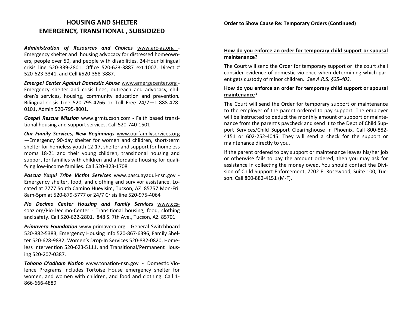# **HOUSING AND SHELTER EMERGENCY, TRANSITIONAL , SUBSIDIZED**

*Administration of Resources and Choices* www.arc-az.org - Emergency shelter and housing advocacy for distressed homeowners, people over 50, and people with disabilities. 24-Hour bilingual crisis line 520-339-2801. Office 520-623-3887 ext.1007, Direct # 520-623-3341, and Cell #520-358-3887.

*Emerge! Center Against Domestic Abuse* www.emergecenter.org - Emergency shelter and crisis lines, outreach and advocacy, children's services, housing, community education and prevention*.* Bilingual Crisis Line 520-795-4266 or Toll Free 24/7—1-888-428- 0101, Admin 520-795-8001.

*Gospel Rescue Mission* www.grmtucson.com *-* Faith based transitional housing and support services. Call 520-740-1501

*Our Family Services, New Beginnings* www.ourfamilyservices.org —Emergency 90-day shelter for women and children, short-term shelter for homeless youth 12-17, shelter and support for homeless moms 18-21 and their young children, transitional housing and support for families with children and affordable housing for qualifying low-income families. Call 520-323-1708

*Pascua Yaqui Tribe Victim Services* www.pascuayaqui-nsn.gov - Emergency shelter, food, and clothing and survivor assistance. Located at 7777 South Camino Huevisim, Tucson, AZ 85757 Mon-Fri. 8am-5pm at 520-879-5777 or 24/7 Crisis line 520-975-4064

*Pio Decimo Center Housing and Family Services* www.ccssoaz.org/Pio-Decimo-Center - Transitional housing, food, clothing and safety. Call 520-622-2801. 848 S. 7th Ave., Tucson, AZ 85701

*Primavera Foundation* www.primavera.org - General Switchboard 520-882-5383, Emergency Housing Info 520-867-6396, Family Shelter 520-628-9832, Women's Drop-In Services 520-882-0820, Homeless Intervention 520-623-5111, and Transitional/Permanent Housing 520-207-0387.

*Tohono O'odham Nation* www.tonation-nsn.gov - Domestic Violence Programs includes Tortoise House emergency shelter for women, and women with children, and food and clothing. Call 1- 866-666-4889

#### **Order to Show Cause Re: Temporary Orders (Continued)**

#### **How do you enforce an order for temporary child support or spousal maintenance?**

The Court will send the Order for temporary support or the court shall consider evidence of domestic violence when determining which parent gets custody of minor children. *See A.R.S. §25-403.*

#### **How do you enforce an order for temporary child support or spousal maintenance?**

The Court will send the Order for temporary support or maintenance to the employer of the parent ordered to pay support. The employer will be instructed to deduct the monthly amount of support or maintenance from the parent's paycheck and send it to the Dept of Child Support Services/Child Support Clearinghouse in Phoenix. Call 800-882- 4151 or 602-252-4045. They will send a check for the support or maintenance directly to you.

If the parent ordered to pay support or maintenance leaves his/her job or otherwise fails to pay the amount ordered, then you may ask for assistance in collecting the money owed. You should contact the Division of Child Support Enforcement, 7202 E. Rosewood, Suite 100, Tucson. Call 800-882-4151 (M-F).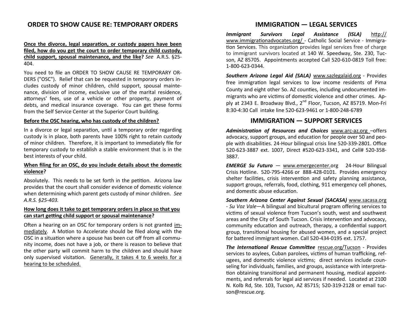# **ORDER TO SHOW CAUSE RE: TEMPORARY ORDERS**

#### **Once the divorce, legal separation, or custody papers have been filed, how do you get the court to order temporary child custody, child support, spousal maintenance, and the like?** *See* A.R.S. §25- 404.

You need to file an ORDER TO SHOW CAUSE RE TEMPORARY OR-DERS ("OSC"). Relief that can be requested in temporary orders includes custody of minor children, child support, spousal maintenance, division of income, exclusive use of the marital residence, attorneys' fees, use of a vehicle or other property, payment of debts, and medical insurance coverage. You can get these forms from the Self Service Center at the Superior Court building.

#### **Before the OSC hearing, who has custody of the children?**

In a divorce or legal separation, until a temporary order regarding custody is in place, both parents have 100% right to retain custody of minor children. Therefore, it is important to immediately file for temporary custody to establish a stable environment that is in the best interests of your child.

#### **When filing for an OSC, do you include details about the domestic violence?**

Absolutely. This needs to be set forth in the petition. Arizona law provides that the court shall consider evidence of domestic violence when determining which parent gets custody of minor children. *See A.R.S. §25-403.*

#### **How long does it take to get temporary orders in place so that you can start getting child support or spousal maintenance?**

Often a hearing on an OSC for temporary orders is not granted immediately. A Motion to Accelerate should be filed along with the OSC in a situation where a spouse has been cut off from all community income, does not have a job, or there is reason to believe that the other party will commit harm to the children and should have only supervised visitation. Generally, it takes 4 to 6 weeks for a hearing to be scheduled.

# **IMMIGRATION — LEGAL SERVICES**

*Immigrant Survivors Legal Assistance (ISLA)* [http://](http://www.immigrationadvocates.org/) [www.immigrationadvocates.org/](http://www.immigrationadvocates.org/) - Catholic Social Service - Immigration Services. This organization provides legal services free of charge to immigrant survivors located at 140 W. Speedway, Ste. 230, Tucson, AZ 85705. Appointments accepted Call 520-610-0819 Toll free: 1-800-623-0344.

*Southern Arizona Legal Aid (SALA)* [www.sazlegalaid.org](http://www.sazlegalaid.org) - Provides free immigration legal services to low income residents of Pima County and eight other So. AZ counties, including undocumented immigrants who are victims of domestic violence and other crimes. Apply at 2343 E. Broadway Blvd., 2<sup>nd</sup> Floor, Tucson, AZ 85719. Mon-Fri 8:30-4:30 Call intake line 520-623-9461 or 1-800-248-6789

# **IMMIGRATION — SUPPORT SERVICES**

*Administration of Resources and Choices* www.arc-az.org –offers advocacy, support groups, and education for people over 50 and people with disabilities. 24-Hour bilingual crisis line 520-339-2801. Office 520-623-3887 ext. 1007, Direct #520-623-3341, and Cell# 520-358- 3887.

*EMERGE Su Futuro* — www.emergecenter.org 24-Hour Bilingual Crisis Hotline. 520-795-4266 or 888-428-0101. Provides emergency shelter facilities, crisis intervention and safety planning assistance, support groups, referrals, food, clothing, 911 emergency cell phones, and domestic abuse education.

*Southern Arizona Center Against Sexual (SACASA)* www.sacasa.org - *Su Voz Vale—*A bilingual and bicultural program offering services to victims of sexual violence from Tucson's south, west and southwest areas and the City of South Tucson. Crisis intervention and advocacy, community education and outreach, therapy, a confidential support group, transitional housing for abused women, and a special project for battered immigrant women. Call 520-434-0195 ext. 1757.

*The International Rescue Committee* rescue.org/Tucson - Provides services to asylees, Cuban parolees, victims of human trafficking, refugees, and domestic violence victims; direct services include counseling for individuals, families, and groups, assistance with interpretation obtaining transitional and permanent housing, medical appointments, and referrals for legal aid services if needed. Located at 2100 N. Kolb Rd, Ste. 103, Tucson, AZ 85715; 520-319-2128 or email tucson@rescue.org.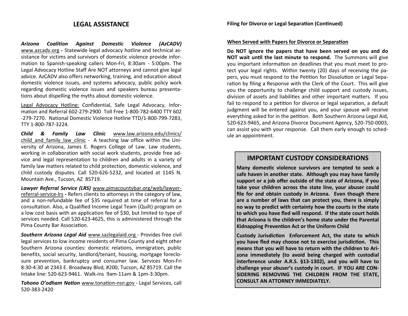# **LEGAL ASSISTANCE**

*Arizona Coalition Against Domestic Violence (AzCADV)*  www.azcadv.org **-** Statewide legal advocacy hotline and technical assistance for victims and survivors of domestic violence provide information to Spanish-speaking callers Mon-Fri, 8:30am - 5:00pm. The Legal Advocacy Hotline Staff Are NOT attorneys and cannot give legal advice. AzCADV also offers networking, training, and education about domestic violence issues, and systems advocacy, public policy work regarding domestic violence issues and speakers bureau presentations about dispelling the myths about domestic violence.

Legal Advocacy Hotline: Confidential, Safe Legal Advocacy, Information and Referral 602-279-2900 Toll Free 1-800-782-6400 TTY 602 -279-7270. National Domestic Violence Hotline TTD/1-800-799-7283, TTY 1-800-787-3224.

*Child & Family Law Clinic* www.law.arizona.edu/clinics/ child and family law clinic - A teaching law office within the University of Arizona, James E. Rogers College of Law. Law students, working in collaboration with social work students, provide free advice and legal representation to children and adults in a variety of family law matters related to child protection, domestic violence, and child custody disputes. Call 520-626-5232, and located at 1145 N. Mountain Ave., Tucson, AZ 85719.

*Lawyer Referral Service (LRS)* www.pimacountybar.org/web/lawyerreferral-service-lrs *-* Refers clients to attorneys in the category of law, and a non-refundable fee of \$35 required at time of referral for a consultation. Also, a Qualified Income Legal Team (Quilt) program on a low cost basis with an application fee of \$30, but limited to type of services needed. Call 520-623-4625, this is administered through the Pima County Bar Association.

*Southern Arizona Legal Aid* www.sazlegalaid.org - Provides free civil legal services to low income residents of Pima County and eight other Southern Arizona counties: domestic relations, immigration, public benefits, social security, landlord/tenant, housing, mortgage foreclosure prevention, bankruptcy and consumer law*.* Services Mon-Fri 8:30-4:30 at 2343 E. Broadway Blvd, #200, Tucson, AZ 85719. Call the Intake line: 520-623-9461. Walk-ins 9am-11am & 1pm-3:30pm.

*Tohono O'odham Nation* www.tonation-nsn.gov - Legal Services, call 520-383-2420

#### **When Served with Papers for Divorce or Separation**

**Do NOT ignore the papers that have been served on you and do NOT wait until the last minute to respond.** The Summons will give you important information on deadlines that you must meet to protect your legal rights. Within twenty (20) days of receiving the papers, you must respond to the Petition for Dissolution or Legal Separation by filing a Response with the Clerk of the Court. This will give you the opportunity to challenge child support and custody issues, division of assets and liabilities and other important matters. If you fail to respond to a petition for divorce or legal separation, a default judgment will be entered against you, and your spouse will receive everything asked for in the petition. Both Southern Arizona Legal Aid, 520-623-9465, and Arizona Divorce Document Agency, 520-750-0003, can assist you with your response. Call them early enough to schedule an appointment.

# **IMPORTANT CUSTODY CONSIDERATIONS**

**Many domestic violence survivors are tempted to seek a safe haven in another state. Although you may have family support or a job offer outside of the state of Arizona, if you take your children across the state line, your abuser could file for and obtain custody in Arizona. Even though there are a number of laws that can protect you, there is simply no way to predict with certainty how the courts in the state to which you have fled will respond. If the state court holds that Arizona is the children's home state under the Parental Kidnapping Prevention Act or the Uniform Child** 

**Custody Jurisdiction Enforcement Act, the state to which you have fled may choose not to exercise jurisdiction. This means that you will have to return with the children to Arizona immediately (to avoid being charged with custodial interference under A.R.S. §13-1302), and you will have to challenge your abuser's custody in court. IF YOU ARE CON-SIDERING REMOVING THE CHILDREN FROM THE STATE, CONSULT AN ATTORNEY IMMEDIATELY.**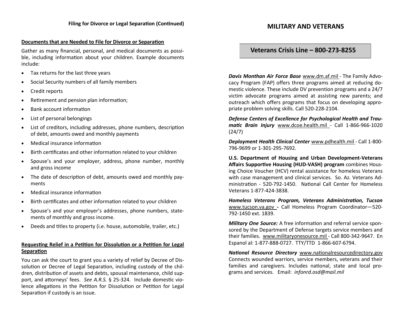#### **Documents that are Needed to File for Divorce or Separation**

Gather as many financial, personal, and medical documents as possible, including information about your children. Example documents include:

- Tax returns for the last three years
- Social Security numbers of all family members
- Credit reports
- Retirement and pension plan information;
- Bank account information
- List of personal belongings
- List of creditors, including addresses, phone numbers, description of debt, amounts owed and monthly payments
- Medical insurance information
- Birth certificates and other information related to your children
- Spouse's and your employer, address, phone number, monthly and gross income
- The date of description of debt, amounts owed and monthly payments
- Medical insurance information
- Birth certificates and other information related to your children
- Spouse's and your employer's addresses, phone numbers, statements of monthly and gross income.
- Deeds and titles to property (i.e. house, automobile, trailer, etc.)

#### **Requesting Relief in a Petition for Dissolution or a Petition for Legal Separation**

You can ask the court to grant you a variety of relief by Decree of Dissolution or Decree of Legal Separation, including custody of the children, distribution of assets and debts, spousal maintenance, child support, and attorneys' fees. *See A.R.S.* § 25-324. Include domestic violence allegations in the Petition for Dissolution or Petition for Legal Separation if custody is an issue.

# **MILITARY AND VETERANS**

# **Veterans Crisis Line – 800-273-8255**

*Davis Monthan Air Force Base* www.dm.af.mil - The Family Advocacy Program (FAP) offers three programs aimed at reducing domestic violence. These include DV prevention programs and a 24/7 victim advocate programs aimed at assisting new parents; and outreach which offers programs that focus on developing appropriate problem solving skills. Call 520-228-2104.

*Defense Centers of Excellence for Psychological Health and Traumatic Brain Injury* www.dcoe.health.mil - Call 1-866-966-1020 (24/7)

*Deployment Health Clinical Center* www.pdhealth.mil - Call 1-800- 796-9699 or 1-301-295-7692.

**U.S. Department of Housing and Urban Development-Veterans Affairs Supportive Housing (HUD-VASH) program** combines Housing Choice Voucher (HCV) rental assistance for homeless Veterans with case management and clinical services. So. Az. Veterans Administration - 520-792-1450. National Call Center for Homeless Veterans 1-877-424-3838.

*Homeless Veterans Program, Veterans Administration, Tucson*  www.tucson.va.gov *-* Call Homeless Program Coordinator—520- 792-1450 ext. 1839.

*Military One Source:* A free information and referral service sponsored by the Department of Defense targets service members and their families. www.militaryonesource.mil *-* Call 800-342-9647. En Espanol al: 1-877-888-0727. TTY/TTD 1-866-607-6794.

*National Resource Directory* www.nationalresourcedirectory.gov Connects wounded warriors, service members, veterans and their families and caregivers. Includes national, state and local programs and services. Email: *infonrd.osd@mail.mil*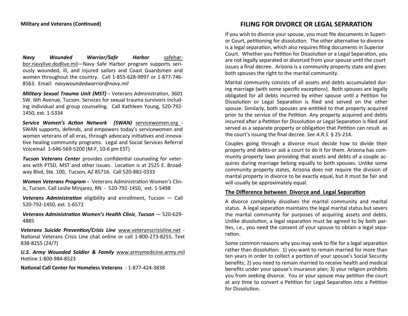*Navy Wounded Warrior/Safe Harbor* safeharbor.navylive.dodlive.mil—Navy Safe Harbor program supports seriously wounded, ill, and injured sailors and Coast Guardsmen and women throughout the country. Call 1-855-628-9997 or 1-877-746- 8563. Email: *navywoundedwarrior@navy.mil*

*Military Sexual Trauma Unit (MST) -* Veterans Administration, 3601 SW. 6th Avenue, Tucson. Services for sexual trauma survivors including individual and group counseling. Call Kathleen Young, 520-792- 1450, ext. 1-5334

*Service Women's Action Network (SWAN)* servicewomen.org - SWAN supports, defends, and empowers today's servicewomen and women veterans of all eras, through advocacy initiatives and innovative healing community programs. Legal and Social Services Referral Voicemail 1-646-569-5200 (M-F, 10-6 pm EST)

*Tucson Veterans Center* provides confidential counseling for veterans with PTSD, MST and other issues. Location is at 2525 E. Broadway Blvd, Ste. 100, Tucson, AZ 85716. Call 520-882-0333

*Women Veterans Program -* Veterans Administration Women's Clinic, Tucson. Call Leslie Minjarez, RN - 520-792-1450, ext. 1-5498

*Veterans Administration* eligibility and enrollment, Tucson — Call 520-792-1450, ext. 1-6572

*Veterans Administration Women's Health Clinic*, *Tucson* — 520-629- 4885

*Veterans Suicide Prevention/Crisis Line* www.veteranscrisisline.net - National Veterans Crisis Line chat online or call 1-800-273-8255. Text 838-8255 (24/7)

*U.S. Army Wounded Soldier & Family* www.armymedicine.army.mil Hotline 1-800-984-8523

**National Call Center for Homeless Veterans** - 1-877-424-3838

# **FILING FOR DIVORCE OR LEGAL SEPARATION**

If you wish to divorce your spouse, you must file documents in Superior Court, petitioning for dissolution. The other alternative to divorce is a legal separation, which also requires filing documents in Superior Court. Whether you Petition for Dissolution or a Legal Separation, you are not legally separated or divorced from your spouse until the court issues a final decree. Arizona is a community property state and gives both spouses the right to the marital community.

Marital community consists of all assets and debts accumulated during marriage (with some specific exceptions). Both spouses are legally obligated for all debts incurred by either spouse until a Petition for Dissolution or Legal Separation is filed and served on the other spouse. Similarly, both spouses are entitled to that property acquired prior to the service of the Petition. Any property acquired and debts incurred after a Petition for Dissolution or Legal Separation is filed and served as a separate property or obligation that Petition can result as the court's issuing the final decree. *See A.R.S.* § 25-214.

Couples going through a divorce must decide how to divide their property and debts-or ask a court to do it for them. Arizona has community property laws providing that assets and debts of a couple acquires during marriage belong equally to both spouses. Unlike some community property states, Arizona does not require the division of marital property in divorce to be exactly equal, but it must be fair and will usually be approximately equal.

#### **The Difference between Divorce and Legal Separation**

A divorce completely dissolves the marital community and marital status. A legal separation maintains the legal marital status but severs the marital community for purposes of acquiring assets and debts. Unlike dissolution, a legal separation must be agreed to by both parties, i.e., you need the consent of your spouse to obtain a legal separation.

Some common reasons why you may seek to file for a legal separation rather than dissolution: 1) you want to remain married for more than ten years in order to collect a portion of your spouse's Social Security benefits; 2) you need to remain married to receive health and medical benefits under your spouse's insurance plan; 3) your religion prohibits you from seeking divorce. You or your spouse may petition the court at any time to convert a Petition for Legal Separation into a Petition for Dissolution.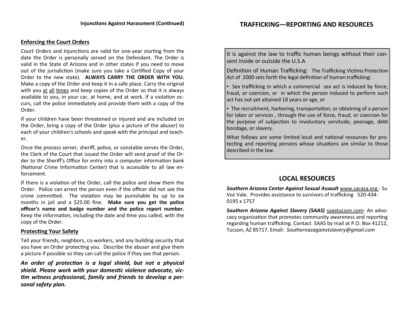#### **Enforcing the Court Orders**

Court Orders and Injunctions are valid for one-year starting from the date the Order is personally served on the Defendant. The Order is valid in the State of Arizona and in other states if you need to move out of the jurisdiction (make sure you take a Certified Copy of your Order to the new state). **ALWAYS CARRY THE ORDER WITH YOU.** Make a copy of the Order and keep it in a safe place. Carry the original with you at all times and keep copies of the Order so that it is always available to you, in your car, at home, and at work. If a violation occurs, call the police immediately and provide them with a copy of the Order.

If your children have been threatened or injured and are included on the Order, bring a copy of the Order (plus a picture of the abuser) to each of your children's schools and speak with the principal and teacher.

Once the process server, sheriff, police, or constable serves the Order, the Clerk of the Court that issued the Order will send proof of the Order to the Sheriff's Office for entry into a computer information bank (National Crime Information Center) that is accessible to all law enforcement.

If there is a violation of the Order, call the police and show them the Order. Police can arrest the person even if the officer did not see the crime committed. The violation may be punishable by up to six months in jail and a \$25.00 fine. **Make sure you get the police officer's name and badge number and the police report number.** Keep the information, including the date and time you called, with the copy of the Order.

#### **Protecting Your Safety**

Tell your friends, neighbors, co-workers, and any building security that you have an Order protecting you. Describe the abuser and give them a picture if possible so they can call the police if they see that person.

*An order of protection is a legal shield, but not a physical shield. Please work with your domestic violence advocate, victim witness professional, family and friends to develop a personal safety plan.*

It is against the law to traffic human beings without their consent inside or outside the U.S.A

Definition of Human Trafficking: The Trafficking Victims Protection Act of 2000 sets forth the legal definition of human trafficking:

**▪** Sex trafficking in which a commercial sex act is induced by force, fraud, or coercion, or in which the person induced to perform such act has not yet attained 18 years or age, or

**• The recruitment, harboring, transportation, or obtaining of a person** for labor or services , through the use of force, fraud, or coercion for the purpose of subjection to involuntary servitude, peonage, debt bondage, or slavery.

What follows are some limited local and national resources for protecting and reporting persons whose situations are similar to those described in the law.

# **LOCAL RESOURCES**

*Southern Arizona Center Against Sexual Assault* www.sacasa.org - Su Voz Vale. Provides assistance to survivors of trafficking 520-434- 0195 x 1757

*Southern Arizona Against Slavery (SAAS)* [saastucson.com](http://www.saastucson.com)- An advocacy organization that promotes community awareness and reporting regarding human trafficking. Contact SAAS by mail at P.O. Box 41212, Tucson, AZ 85717. Email: *Southernazagainstslavery@gmail.com*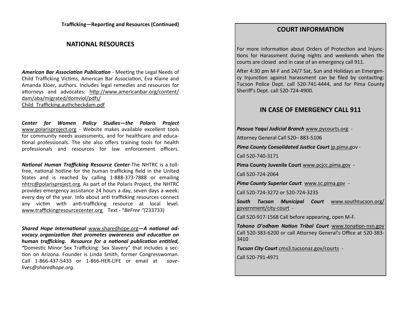**Trafficking—Reporting and Resources (Continued)**

# **NATIONAL RESOURCES**

*American Bar Association Publication* - Meeting the Legal Needs of Child Trafficking Victims, American Bar Association, Eva Klaine and Amanda Kloer, authors. Includes legal remedies and resources for attorneys and advocates: [http://www.americanbar.org/content/](http://www.americanbar.org/content/dam/aba/migrated/domviol/pdfs/Child_Trafficking.authcheckdam.pdf) [dam/aba/migrated/domviol/pdfs/](http://www.americanbar.org/content/dam/aba/migrated/domviol/pdfs/Child_Trafficking.authcheckdam.pdf) [Child\\_Trafficking.authcheckdam.pdf](http://www.americanbar.org/content/dam/aba/migrated/domviol/pdfs/Child_Trafficking.authcheckdam.pdf)

*Center for Women Policy Studies—the Polaris Project*  [www.polarisproject.org](http://www.polarisproject.org) - Website makes available excellent tools for community needs assessments, and for healthcare and educational professionals. The site also offers training tools for health professionals and resources for law enforcement officers.

*National Human Trafficking Resource Center*-The NHTRC is a tollfree, national hotline for the human trafficking field in the United States and is reached by calling 1-888-373-7888 or emailing [nhtrc@polarisproject.org.](mailto:nhtrc@polarisproject.org) As part of the Polaris Project, the NHTRC provides emergency assistance 24 hours a day, seven days a week. every day of the year. Info about anti trafficking resources connect any victim with anti-trafficking resource at local level. www.traffickingresourcecenter.org Text - "*BeFree "(*233733)

*Shared Hope International* www.sharedhope.org*—A national advocacy organization that promotes awareness and education on human trafficking. Resource for a national publication entitled, "*Domestic Minor Sex Trafficking: Sex Slavery" that includes a section on Arizona. Founder is Linda Smith, former Congresswoman. Call 1-866-437-5433 or 1-866-HER-LIFE or email at *savelives@sharedhope.org.* 

# **COURT INFORMATION**

For more information about Orders of Protection and Injunctions for Harassment during nights and weekends when the courts are closed and in case of an emergency call 911.

After 4:30 pm M-F and 24/7 Sat, Sun and Holidays an Emergency Injunction against harassment can be filed by contacting: Tucson Police Dept. call 520-741-4444, and for Pima County Sheriff's Dept. call 520-724-4900.

# **IN CASE OF EMERGENCY CALL 911**

*Pascua Yaqui Judicial Branch* www.pycourts.org -

Attorney General Call 520– 883-5106

*Pima County Consolidated Justice Court* jp.pima.gov -

Call 520-740-3171

**Pima County Juvenile Court** www.pcjcc.pima.gov -

Call 520-724-2064

*Pima County Superior Court* www.sc.pima.gov -

Call 520-724-3272 or 520-724-3235

*South Tucson Municipal Court* www.southtucson.org/ government/city-court -

Call 520-917-1568 Call before appearing, open M-F.

*Tohono O'odham Nation Tribal Court* www.tonation-nsn.gov Call 520-383-6200 or call Attorney General's Office at 520-383- 3410

*Tucson City Court* cms3.tucsonaz.gov/courts -

Call 520-791-4971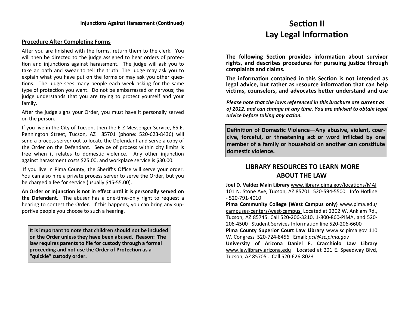#### **Procedure After Completing Forms**

After you are finished with the forms, return them to the clerk. You will then be directed to the judge assigned to hear orders of protection and injunctions against harassment. The judge will ask you to take an oath and swear to tell the truth. The judge may ask you to explain what you have put on the forms or may ask you other questions. The judge sees many people each week asking for the same type of protection you want. Do not be embarrassed or nervous; the judge understands that you are trying to protect yourself and your family.

After the judge signs your Order, you must have it personally served on the person.

If you live in the City of Tucson, then the E-Z Messenger Service, 65 E. Pennington Street, Tucson, AZ 85701 (phone: 520-623-8436) will send a process server out to locate the Defendant and serve a copy of the Order on the Defendant. Service of process within city limits is free when it relates to domestic violence. Any other injunction against harassment costs \$25.00, and workplace service is \$30.00.

If you live in Pima County, the Sheriff's Office will serve your order. You can also hire a private process server to serve the Order, but you be charged a fee for service (usually \$45-55.00).

**An Order or Injunction is not in effect until it is personally served on the Defendant.** The abuser has a one-time-only right to request a hearing to contest the Order. If this happens, you can bring any supportive people you choose to such a hearing.

**It is important to note that children should not be included on the Order unless they have been abused. Reason: The law requires parents to file for custody through a formal proceeding and not use the Order of Protection as a "quickie" custody order.**

# **Section II Lay Legal Information**

**The following Section provides information about survivor rights, and describes procedures for pursuing justice through complaints and claims.** 

**The information contained in this Section is not intended as legal advice, but rather as resource information that can help victims, counselors, and advocates better understand and use** 

*Please note that the laws referenced in this brochure are current as of 2012, and can change at any time. You are advised to obtain legal advice before taking any action.*

**Definition of Domestic Violence—Any abusive, violent, coercive, forceful, or threatening act or word inflicted by one member of a family or household on another can constitute domestic violence.**

# **LIBRARY RESOURCES TO LEARN MORE ABOUT THE LAW**

**Joel D. Valdez Main Library** www.library.pima.gov/locations/MAI 101 N. Stone Ave, Tucson, AZ 85701 520-594-5500 Info Hotline - 520-791-4010

**Pima Community College (West Campus only)** www.pima.edu/ campuses-centers/west-campus Located at 2202 W. Anklam Rd., Tucson, AZ 85745. Call 520-206-3210, 1-800-860-PIMA, and 520- 206-4500 Student Services Information line 520-206-6600

**Pima County Superior Court Law Library** www.sc.pima.gov 110 W. Congress 520-724-8456 Email: *pcll@sc.pima.gov*

**University of Arizona Daniel F. Cracchiolo Law Library**  www.lawlibrary.arizona.edu Located at 201 E. Speedway Blvd, Tucson, AZ 85705 . Call 520-626-8023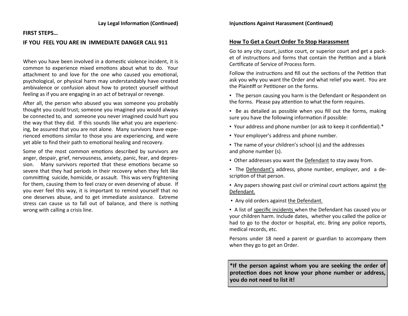#### **FIRST STEPS…**

# **IF YOU FEEL YOU ARE IN IMMEDIATE DANGER CALL 911**

When you have been involved in a domestic violence incident, it is common to experience mixed emotions about what to do. Your attachment to and love for the one who caused you emotional, psychological, or physical harm may understandably have created ambivalence or confusion about how to protect yourself without feeling as if you are engaging in an act of betrayal or revenge.

After all, the person who abused you was someone you probably thought you could trust; someone you imagined you would always be connected to, and someone you never imagined could hurt you the way that they did. If this sounds like what you are experiencing, be assured that you are not alone. Many survivors have experienced emotions similar to those you are experiencing, and were yet able to find their path to emotional healing and recovery.

Some of the most common emotions described by survivors are anger, despair, grief, nervousness, anxiety, panic, fear, and depression. Many survivors reported that these emotions became so severe that they had periods in their recovery when they felt like committing suicide, homicide, or assault. This was very frightening for them, causing them to feel crazy or even deserving of abuse. If you ever feel this way, it is important to remind yourself that no one deserves abuse, and to get immediate assistance. Extreme stress can cause us to fall out of balance, and there is nothing wrong with calling a crisis line.

# **How To Get a Court Order To Stop Harassment**

Go to any city court, justice court, or superior court and get a packet of instructions and forms that contain the Petition and a blank Certificate of Service of Process form.

Follow the instructions and fill out the sections of the Petition that ask you why you want the Order and what relief you want. You are the Plaintiff or Petitioner on the forms.

**• The person causing you harm is the Defendant or Respondent on** the forms. Please pay attention to what the form requires.

■ Be as detailed as possible when you fill out the forms, making sure you have the following information if possible:

- Your address and phone number (or ask to keep it confidential).\*
- Your employer's address and phone number.

■ The name of your children's school (s) and the addresses and phone number (s).

- Other addresses you want the Defendant to stay away from.
- The Defendant's address, phone number, employer, and a description of that person.

▪ Any papers showing past civil or criminal court actions against the Defendant.

▪ Any old orders against the Defendant.

▪ A list of specific incidents when the Defendant has caused you or your children harm. Include dates, whether you called the police or had to go to the doctor or hospital, etc. Bring any police reports, medical records, etc.

Persons under 18 need a parent or guardian to accompany them when they go to get an Order.

**\*If the person against whom you are seeking the order of protection does not know your phone number or address, you do not need to list it!**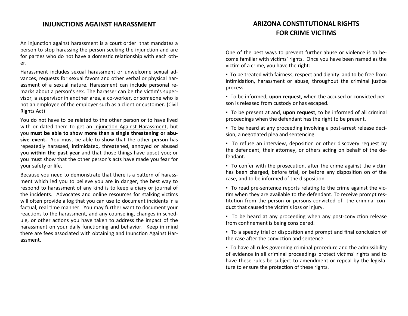# **INJUNCTIONS AGAINST HARASSMENT**

An injunction against harassment is a court order that mandates a person to stop harassing the person seeking the injunction and are for parties who do not have a domestic relationship with each other.

Harassment includes sexual harassment or unwelcome sexual advances, requests for sexual favors and other verbal or physical harassment of a sexual nature. Harassment can include personal remarks about a person's sex. The harasser can be the victim's supervisor, a supervisor in another area, a co-worker, or someone who is not an employee of the employer such as a client or customer. (Civil Rights Act)

You do not have to be related to the other person or to have lived with or dated them to get an Injunction Against Harassment, but you **must be able to show more than a single threatening or abusive event.** You must be able to show that the other person has repeatedly harassed, intimidated, threatened, annoyed or abused you **within the past year** and that those things have upset you; or you must show that the other person's acts have made you fear for your safety or life.

Because you need to demonstrate that there is a pattern of harassment which led you to believe you are in danger, the best way to respond to harassment of any kind is to keep a diary or journal of the incidents. Advocates and online resources for stalking victims will often provide a log that you can use to document incidents in a factual, real time manner. You may further want to document your reactions to the harassment, and any counseling, changes in schedule, or other actions you have taken to address the impact of the harassment on your daily functioning and behavior. Keep in mind there are fees associated with obtaining and Inunction Against Harassment.

# **ARIZONA CONSTITUTIONAL RIGHTS FOR CRIME VICTIMS**

One of the best ways to prevent further abuse or violence is to become familiar with victims' rights. Once you have been named as the victim of a crime, you have the right:

▪ To be treated with fairness, respect and dignity and to be free from intimidation, harassment or abuse, throughout the criminal justice process.

▪ To be informed, **upon request**, when the accused or convicted person is released from custody or has escaped.

▪ To be present at and, **upon request**, to be informed of all criminal proceedings when the defendant has the right to be present.

▪ To be heard at any proceeding involving a post-arrest release decision, a negotiated plea and sentencing.

▪ To refuse an interview, deposition or other discovery request by the defendant, their attorney, or others acting on behalf of the defendant.

▪ To confer with the prosecution, after the crime against the victim has been charged, before trial, or before any disposition on of the case, and to be informed of the disposition.

▪ To read pre-sentence reports relating to the crime against the victim when they are available to the defendant. To receive prompt restitution from the person or persons convicted of the criminal conduct that caused the victim's loss or injury.

▪ To be heard at any proceeding when any post-conviction release from confinement is being considered.

▪ To a speedy trial or disposition and prompt and final conclusion of the case after the conviction and sentence.

▪ To have all rules governing criminal procedure and the admissibility of evidence in all criminal proceedings protect victims' rights and to have these rules be subject to amendment or repeal by the legislature to ensure the protection of these rights.